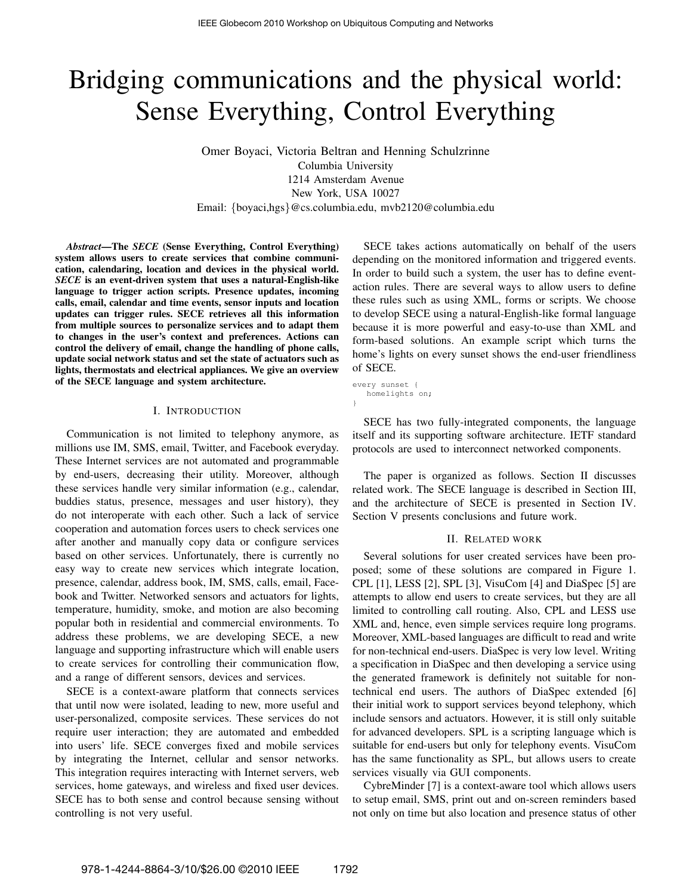# Bridging communications and the physical world: Sense Everything, Control Everything

Omer Boyaci, Victoria Beltran and Henning Schulzrinne Columbia University 1214 Amsterdam Avenue New York, USA 10027 Email: {boyaci,hgs}@cs.columbia.edu, mvb2120@columbia.edu

*Abstract*—The *SECE* (Sense Everything, Control Everything) system allows users to create services that combine communication, calendaring, location and devices in the physical world. *SECE* is an event-driven system that uses a natural-English-like language to trigger action scripts. Presence updates, incoming calls, email, calendar and time events, sensor inputs and location updates can trigger rules. SECE retrieves all this information from multiple sources to personalize services and to adapt them to changes in the user's context and preferences. Actions can control the delivery of email, change the handling of phone calls, update social network status and set the state of actuators such as lights, thermostats and electrical appliances. We give an overview of the SECE language and system architecture.

#### I. INTRODUCTION

Communication is not limited to telephony anymore, as millions use IM, SMS, email, Twitter, and Facebook everyday. These Internet services are not automated and programmable by end-users, decreasing their utility. Moreover, although these services handle very similar information (e.g., calendar, buddies status, presence, messages and user history), they do not interoperate with each other. Such a lack of service cooperation and automation forces users to check services one after another and manually copy data or configure services based on other services. Unfortunately, there is currently no easy way to create new services which integrate location, presence, calendar, address book, IM, SMS, calls, email, Facebook and Twitter. Networked sensors and actuators for lights, temperature, humidity, smoke, and motion are also becoming popular both in residential and commercial environments. To address these problems, we are developing SECE, a new language and supporting infrastructure which will enable users to create services for controlling their communication flow, and a range of different sensors, devices and services.

SECE is a context-aware platform that connects services that until now were isolated, leading to new, more useful and user-personalized, composite services. These services do not require user interaction; they are automated and embedded into users' life. SECE converges fixed and mobile services by integrating the Internet, cellular and sensor networks. This integration requires interacting with Internet servers, web services, home gateways, and wireless and fixed user devices. SECE has to both sense and control because sensing without controlling is not very useful.

SECE takes actions automatically on behalf of the users depending on the monitored information and triggered events. In order to build such a system, the user has to define eventaction rules. There are several ways to allow users to define these rules such as using XML, forms or scripts. We choose to develop SECE using a natural-English-like formal language because it is more powerful and easy-to-use than XML and form-based solutions. An example script which turns the home's lights on every sunset shows the end-user friendliness of SECE.

every sunset { homelights on; }

SECE has two fully-integrated components, the language itself and its supporting software architecture. IETF standard protocols are used to interconnect networked components.

The paper is organized as follows. Section II discusses related work. The SECE language is described in Section III, and the architecture of SECE is presented in Section IV. Section V presents conclusions and future work.

#### II. RELATED WORK

Several solutions for user created services have been proposed; some of these solutions are compared in Figure 1. CPL [1], LESS [2], SPL [3], VisuCom [4] and DiaSpec [5] are attempts to allow end users to create services, but they are all limited to controlling call routing. Also, CPL and LESS use XML and, hence, even simple services require long programs. Moreover, XML-based languages are difficult to read and write for non-technical end-users. DiaSpec is very low level. Writing a specification in DiaSpec and then developing a service using the generated framework is definitely not suitable for nontechnical end users. The authors of DiaSpec extended [6] their initial work to support services beyond telephony, which include sensors and actuators. However, it is still only suitable for advanced developers. SPL is a scripting language which is suitable for end-users but only for telephony events. VisuCom has the same functionality as SPL, but allows users to create services visually via GUI components.

CybreMinder [7] is a context-aware tool which allows users to setup email, SMS, print out and on-screen reminders based not only on time but also location and presence status of other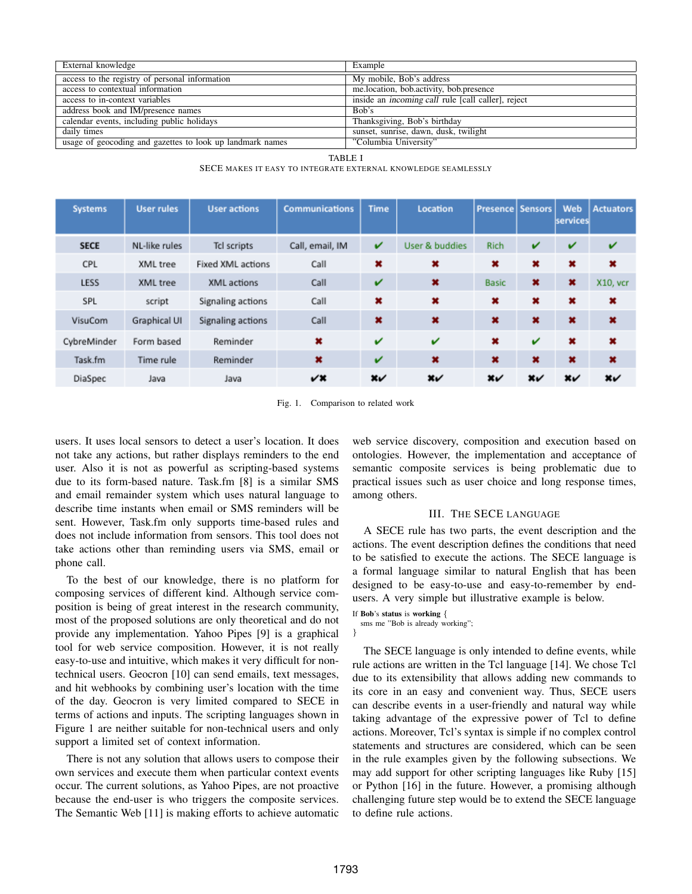| External knowledge                                        | Example                                                   |  |  |  |  |
|-----------------------------------------------------------|-----------------------------------------------------------|--|--|--|--|
| access to the registry of personal information            | My mobile, Bob's address                                  |  |  |  |  |
| access to contextual information                          | me.location, bob.activity, bob.presence                   |  |  |  |  |
| access to in-context variables                            | inside an <i>incoming call</i> rule [call caller], reject |  |  |  |  |
| address book and IM/presence names                        | Bob's                                                     |  |  |  |  |
| calendar events, including public holidays                | Thanksgiving, Bob's birthday                              |  |  |  |  |
| daily times                                               | sunset, sunrise, dawn, dusk, twilight                     |  |  |  |  |
| usage of geocoding and gazettes to look up landmark names | "Columbia University"                                     |  |  |  |  |

TABLE I

SECE MAKES IT EASY TO INTEGRATE EXTERNAL KNOWLEDGE SEAMLESSLY

| <b>Systems</b> | <b>User rules</b> | <b>User actions</b>      | <b>Communications</b> | <b>Time</b>              | Location       | <b>Presence   Sensors</b> |                                                    | Web<br>services                                    | <b>Actuators</b>                                 |
|----------------|-------------------|--------------------------|-----------------------|--------------------------|----------------|---------------------------|----------------------------------------------------|----------------------------------------------------|--------------------------------------------------|
| <b>SECE</b>    | NL-like rules     | Tcl scripts              | Call, email, IM       | v                        | User & buddies | <b>Rich</b>               | v                                                  | v                                                  | v                                                |
| CPL            | XML tree          | <b>Fixed XML actions</b> | Call                  | $\pmb{\times}$           | ×              | ×                         | ×                                                  | $\pmb{\times}$                                     | ×                                                |
| <b>LESS</b>    | XML tree          | XML actions              | Call                  | v                        | ×              | <b>Basic</b>              | $\pmb{\times}$                                     | ×                                                  | X10, vcr                                         |
| SPL            | script            | Signaling actions        | Call                  | ×                        | ×              | ×                         | ×                                                  | ×                                                  | ×                                                |
| VisuCom        | Graphical UI      | Signaling actions        | Call                  | $\pmb{\times}$           | ×              | ×                         | ×                                                  | ×                                                  | ×                                                |
| CybreMinder    | Form based        | Reminder                 | $\pmb{\times}$        | v                        | v              | ×                         | $\checkmark$                                       | $\pmb{\times}$                                     | ×                                                |
| Task.fm        | Time rule         | Reminder                 | ×                     | v                        | ×              | ×                         | ×                                                  | ×                                                  | $\pmb{\times}$                                   |
| DiaSpec        | Java              | Java                     | v×                    | $\boldsymbol{\varkappa}$ | $x\checkmark$  | x $\checkmark$            | $\boldsymbol{\mathsf{x}}\boldsymbol{\mathsf{\nu}}$ | $\boldsymbol{\mathsf{x}}\boldsymbol{\mathsf{\nu}}$ | $\boldsymbol{\mathsf{x}}\boldsymbol{\mathsf{v}}$ |

Fig. 1. Comparison to related work

users. It uses local sensors to detect a user's location. It does not take any actions, but rather displays reminders to the end user. Also it is not as powerful as scripting-based systems due to its form-based nature. Task.fm [8] is a similar SMS and email remainder system which uses natural language to describe time instants when email or SMS reminders will be sent. However, Task.fm only supports time-based rules and does not include information from sensors. This tool does not take actions other than reminding users via SMS, email or phone call.

To the best of our knowledge, there is no platform for composing services of different kind. Although service composition is being of great interest in the research community, most of the proposed solutions are only theoretical and do not provide any implementation. Yahoo Pipes [9] is a graphical tool for web service composition. However, it is not really easy-to-use and intuitive, which makes it very difficult for nontechnical users. Geocron [10] can send emails, text messages, and hit webhooks by combining user's location with the time of the day. Geocron is very limited compared to SECE in terms of actions and inputs. The scripting languages shown in Figure 1 are neither suitable for non-technical users and only support a limited set of context information.

There is not any solution that allows users to compose their own services and execute them when particular context events occur. The current solutions, as Yahoo Pipes, are not proactive because the end-user is who triggers the composite services. The Semantic Web [11] is making efforts to achieve automatic

web service discovery, composition and execution based on ontologies. However, the implementation and acceptance of semantic composite services is being problematic due to practical issues such as user choice and long response times, among others.

#### III. THE SECE LANGUAGE

A SECE rule has two parts, the event description and the actions. The event description defines the conditions that need to be satisfied to execute the actions. The SECE language is a formal language similar to natural English that has been designed to be easy-to-use and easy-to-remember by endusers. A very simple but illustrative example is below.

If Bob's status is working {

sms me "Bob is already working"; }

The SECE language is only intended to define events, while rule actions are written in the Tcl language [14]. We chose Tcl due to its extensibility that allows adding new commands to its core in an easy and convenient way. Thus, SECE users can describe events in a user-friendly and natural way while taking advantage of the expressive power of Tcl to define actions. Moreover, Tcl's syntax is simple if no complex control statements and structures are considered, which can be seen in the rule examples given by the following subsections. We may add support for other scripting languages like Ruby [15] or Python [16] in the future. However, a promising although challenging future step would be to extend the SECE language to define rule actions.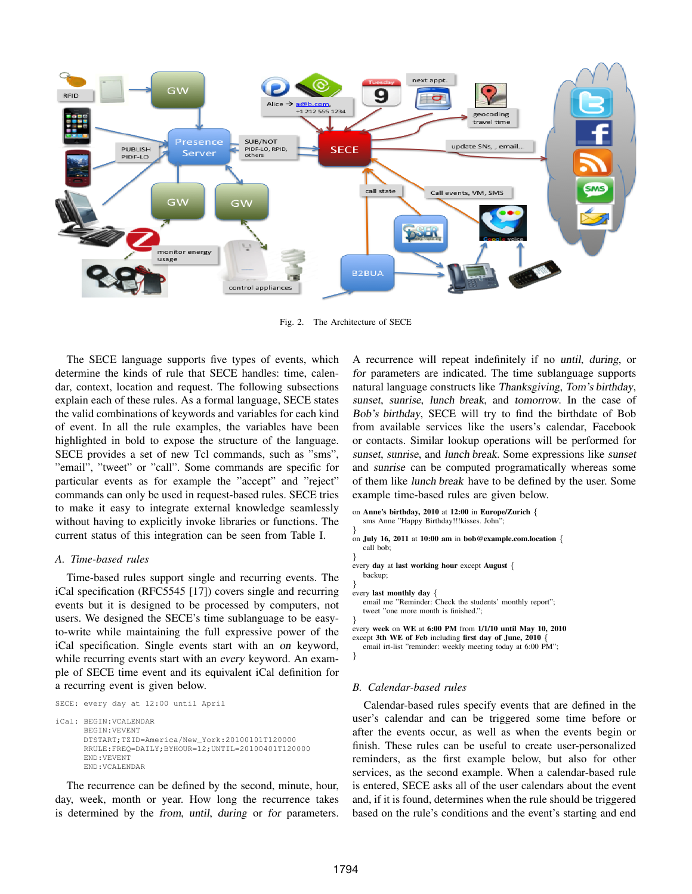

Fig. 2. The Architecture of SECE

The SECE language supports five types of events, which determine the kinds of rule that SECE handles: time, calendar, context, location and request. The following subsections explain each of these rules. As a formal language, SECE states the valid combinations of keywords and variables for each kind of event. In all the rule examples, the variables have been highlighted in bold to expose the structure of the language. SECE provides a set of new Tcl commands, such as "sms", "email", "tweet" or "call". Some commands are specific for particular events as for example the "accept" and "reject" commands can only be used in request-based rules. SECE tries to make it easy to integrate external knowledge seamlessly without having to explicitly invoke libraries or functions. The current status of this integration can be seen from Table I.

#### *A. Time-based rules*

Time-based rules support single and recurring events. The iCal specification (RFC5545 [17]) covers single and recurring events but it is designed to be processed by computers, not users. We designed the SECE's time sublanguage to be easyto-write while maintaining the full expressive power of the iCal specification. Single events start with an on keyword, while recurring events start with an every keyword. An example of SECE time event and its equivalent iCal definition for a recurring event is given below.

```
SECE: every day at 12:00 until April
```

```
iCal: BEGIN:VCALENDAR
      BEGIN:VEVENT
      DTSTART;TZID=America/New_York:20100101T120000
      RRULE:FREQ=DAILY;BYHOUR=12;UNTIL=20100401T120000
      END:VEVENT
      END:VCALENDAR
```
The recurrence can be defined by the second, minute, hour, day, week, month or year. How long the recurrence takes is determined by the from, until, during or for parameters.

A recurrence will repeat indefinitely if no until, during, or for parameters are indicated. The time sublanguage supports natural language constructs like Thanksgiving, Tom's birthday, sunset, sunrise, lunch break, and tomorrow. In the case of Bob's birthday, SECE will try to find the birthdate of Bob from available services like the users's calendar, Facebook or contacts. Similar lookup operations will be performed for sunset, sunrise, and lunch break. Some expressions like sunset and sunrise can be computed programatically whereas some of them like lunch break have to be defined by the user. Some example time-based rules are given below.

```
on Anne's birthday, 2010 at 12:00 in Europe/Zurich {
   sms Anne "Happy Birthday!!!kisses. John";
}
on July 16, 2011 at 10:00 am in bob@example.com.location {
  call bob;
}
every day at last working hour except August {
   backup;
}
every last monthly day {
  email me "Reminder: Check the students' monthly report";
  tweet "one more month is finished.";
}
every week on WE at 6:00 PM from 1/1/10 until May 10, 2010
except 3th WE of Feb including first day of June, 2010 {
  email irt-list "reminder: weekly meeting today at 6:00 PM";
}
```
#### *B. Calendar-based rules*

Calendar-based rules specify events that are defined in the user's calendar and can be triggered some time before or after the events occur, as well as when the events begin or finish. These rules can be useful to create user-personalized reminders, as the first example below, but also for other services, as the second example. When a calendar-based rule is entered, SECE asks all of the user calendars about the event and, if it is found, determines when the rule should be triggered based on the rule's conditions and the event's starting and end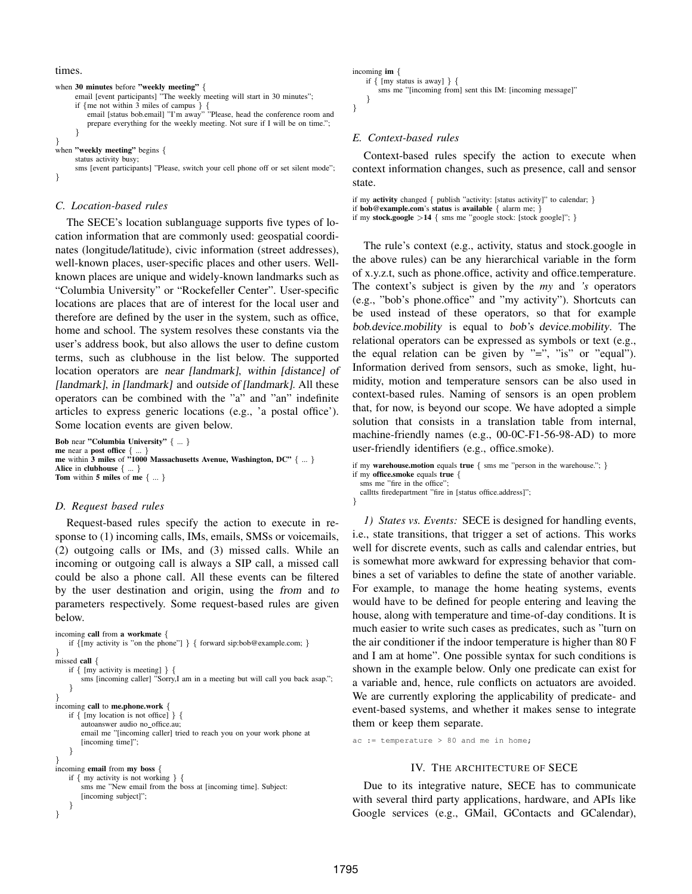times.

```
when 30 minutes before "weekly meeting" {
      email [event participants] "The weekly meeting will start in 30 minutes";
      if {me not within 3 miles of campus } {{email } [status bobemail] "I'm away" ""Please, head the conference room and
          prepare everything for the weekly meeting. Not sure if I will be on time.";
      }
}
when "weekly meeting" begins {
      status activity busy;
      sms [event participants] "Please, switch your cell phone off or set silent mode";
}
```
# *C. Location-based rules*

The SECE's location sublanguage supports five types of location information that are commonly used: geospatial coordinates (longitude/latitude), civic information (street addresses), well-known places, user-specific places and other users. Wellknown places are unique and widely-known landmarks such as "Columbia University" or "Rockefeller Center". User-specific locations are places that are of interest for the local user and therefore are defined by the user in the system, such as office, home and school. The system resolves these constants via the user's address book, but also allows the user to define custom terms, such as clubhouse in the list below. The supported location operators are near [landmark], within [distance] of [landmark], in [landmark] and outside of [landmark]. All these operators can be combined with the "a" and "an" indefinite articles to express generic locations (e.g., 'a postal office'). Some location events are given below.

```
Bob near "Columbia University" { ... }
me near a post office { ...
me within 3 miles of \overline{1000} Massachusetts Avenue, Washington, DC" \{ \dots \}Alice in clubhouse \{ \dots \}Tom within 5 miles of me \{ \dots \}
```
#### *D. Request based rules*

Request-based rules specify the action to execute in response to (1) incoming calls, IMs, emails, SMSs or voicemails, (2) outgoing calls or IMs, and (3) missed calls. While an incoming or outgoing call is always a SIP call, a missed call could be also a phone call. All these events can be filtered by the user destination and origin, using the from and to parameters respectively. Some request-based rules are given below.

```
incoming call from a workmate {
    if {[my activity is "on the phone"] } { forward sip:bob@example.com; }
}
missed call {
    if { [my activity is meeting] } {
        sms [incoming caller] "Sorry,I am in a meeting but will call you back asap.";
    }
}
incoming call to me.phone.work {
   if { [my location is not office] } {
       autoanswer audio no_office.au;
       email me "[incoming caller] tried to reach you on your work phone at
       [incoming time]";
    }
}
incoming email from my boss {
    if { my activity is not working } {
       sms me "New email from the boss at [incoming time]. Subject:
       [incoming subject]";
    }
}
```
incoming im {

```
if { [my status is away] } {
       sms me "[incoming from] sent this IM: [incoming message]"
   }
}
```
## *E. Context-based rules*

Context-based rules specify the action to execute when context information changes, such as presence, call and sensor state.

```
if my activity changed { publish "activity: [status activity]" to calendar; }
if bob@example.com's status is available \{ alarm me: \}
```

```
if my stock.google >14 { sms me "google stock: [stock google]"; }
```
The rule's context (e.g., activity, status and stock.google in the above rules) can be any hierarchical variable in the form of x.y.z.t, such as phone.office, activity and office.temperature. The context's subject is given by the *my* and *'s* operators (e.g., "bob's phone.office" and "my activity"). Shortcuts can be used instead of these operators, so that for example bob.device.mobility is equal to bob's device.mobility. The relational operators can be expressed as symbols or text (e.g., the equal relation can be given by "=", "is" or "equal"). Information derived from sensors, such as smoke, light, humidity, motion and temperature sensors can be also used in context-based rules. Naming of sensors is an open problem that, for now, is beyond our scope. We have adopted a simple solution that consists in a translation table from internal, machine-friendly names (e.g., 00-0C-F1-56-98-AD) to more user-friendly identifiers (e.g., office.smoke).

```
if my warehouse.motion equals true \{ \text{sms me } \text{''person in the warehouse."}; \}if my office.smoke equals true {
  sms me "fire in the office"
```
calltts firedepartment "fire in [status office.address]"; }

*1) States vs. Events:* SECE is designed for handling events, i.e., state transitions, that trigger a set of actions. This works well for discrete events, such as calls and calendar entries, but is somewhat more awkward for expressing behavior that combines a set of variables to define the state of another variable. For example, to manage the home heating systems, events would have to be defined for people entering and leaving the house, along with temperature and time-of-day conditions. It is much easier to write such cases as predicates, such as "turn on the air conditioner if the indoor temperature is higher than 80 F and I am at home". One possible syntax for such conditions is shown in the example below. Only one predicate can exist for a variable and, hence, rule conflicts on actuators are avoided. We are currently exploring the applicability of predicate- and event-based systems, and whether it makes sense to integrate them or keep them separate.

```
ac := temperature > 80 and me in home;
```
### IV. THE ARCHITECTURE OF SECE

Due to its integrative nature, SECE has to communicate with several third party applications, hardware, and APIs like Google services (e.g., GMail, GContacts and GCalendar),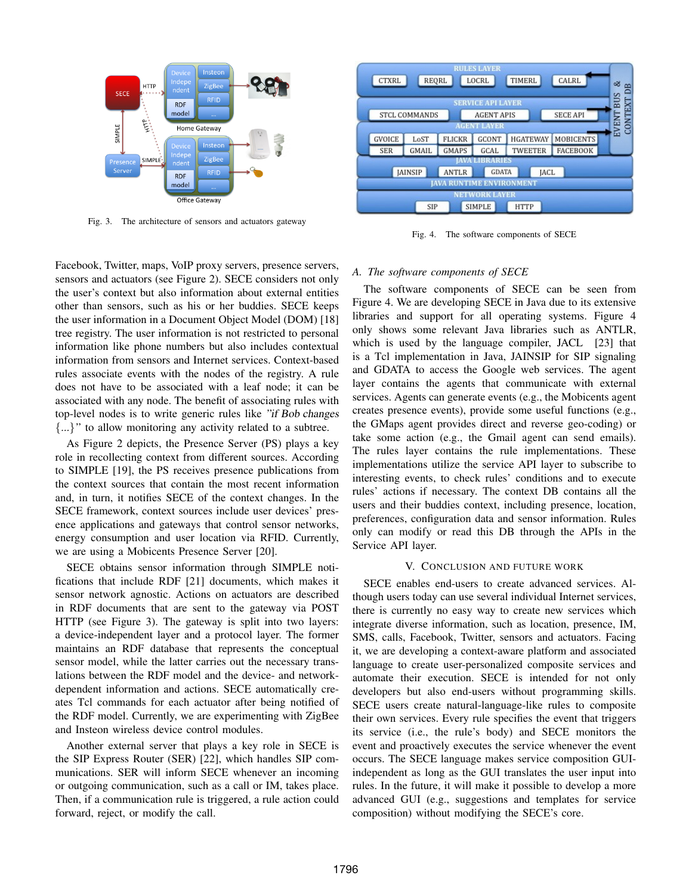

Fig. 3. The architecture of sensors and actuators gateway

Facebook, Twitter, maps, VoIP proxy servers, presence servers, sensors and actuators (see Figure 2). SECE considers not only the user's context but also information about external entities other than sensors, such as his or her buddies. SECE keeps the user information in a Document Object Model (DOM) [18] tree registry. The user information is not restricted to personal information like phone numbers but also includes contextual information from sensors and Internet services. Context-based rules associate events with the nodes of the registry. A rule does not have to be associated with a leaf node; it can be associated with any node. The benefit of associating rules with top-level nodes is to write generic rules like "if Bob changes {...}" to allow monitoring any activity related to a subtree.

As Figure 2 depicts, the Presence Server (PS) plays a key role in recollecting context from different sources. According to SIMPLE [19], the PS receives presence publications from the context sources that contain the most recent information and, in turn, it notifies SECE of the context changes. In the SECE framework, context sources include user devices' presence applications and gateways that control sensor networks, energy consumption and user location via RFID. Currently, we are using a Mobicents Presence Server [20].

SECE obtains sensor information through SIMPLE notifications that include RDF [21] documents, which makes it sensor network agnostic. Actions on actuators are described in RDF documents that are sent to the gateway via POST HTTP (see Figure 3). The gateway is split into two layers: a device-independent layer and a protocol layer. The former maintains an RDF database that represents the conceptual sensor model, while the latter carries out the necessary translations between the RDF model and the device- and networkdependent information and actions. SECE automatically creates Tcl commands for each actuator after being notified of the RDF model. Currently, we are experimenting with ZigBee and Insteon wireless device control modules.

Another external server that plays a key role in SECE is the SIP Express Router (SER) [22], which handles SIP communications. SER will inform SECE whenever an incoming or outgoing communication, such as a call or IM, takes place. Then, if a communication rule is triggered, a rule action could forward, reject, or modify the call.



Fig. 4. The software components of SECE

#### *A. The software components of SECE*

The software components of SECE can be seen from Figure 4. We are developing SECE in Java due to its extensive libraries and support for all operating systems. Figure 4 only shows some relevant Java libraries such as ANTLR, which is used by the language compiler, JACL [23] that is a Tcl implementation in Java, JAINSIP for SIP signaling and GDATA to access the Google web services. The agent layer contains the agents that communicate with external services. Agents can generate events (e.g., the Mobicents agent creates presence events), provide some useful functions (e.g., the GMaps agent provides direct and reverse geo-coding) or take some action (e.g., the Gmail agent can send emails). The rules layer contains the rule implementations. These implementations utilize the service API layer to subscribe to interesting events, to check rules' conditions and to execute rules' actions if necessary. The context DB contains all the users and their buddies context, including presence, location, preferences, configuration data and sensor information. Rules only can modify or read this DB through the APIs in the Service API layer.

#### V. CONCLUSION AND FUTURE WORK

SECE enables end-users to create advanced services. Although users today can use several individual Internet services, there is currently no easy way to create new services which integrate diverse information, such as location, presence, IM, SMS, calls, Facebook, Twitter, sensors and actuators. Facing it, we are developing a context-aware platform and associated language to create user-personalized composite services and automate their execution. SECE is intended for not only developers but also end-users without programming skills. SECE users create natural-language-like rules to composite their own services. Every rule specifies the event that triggers its service (i.e., the rule's body) and SECE monitors the event and proactively executes the service whenever the event occurs. The SECE language makes service composition GUIindependent as long as the GUI translates the user input into rules. In the future, it will make it possible to develop a more advanced GUI (e.g., suggestions and templates for service composition) without modifying the SECE's core.